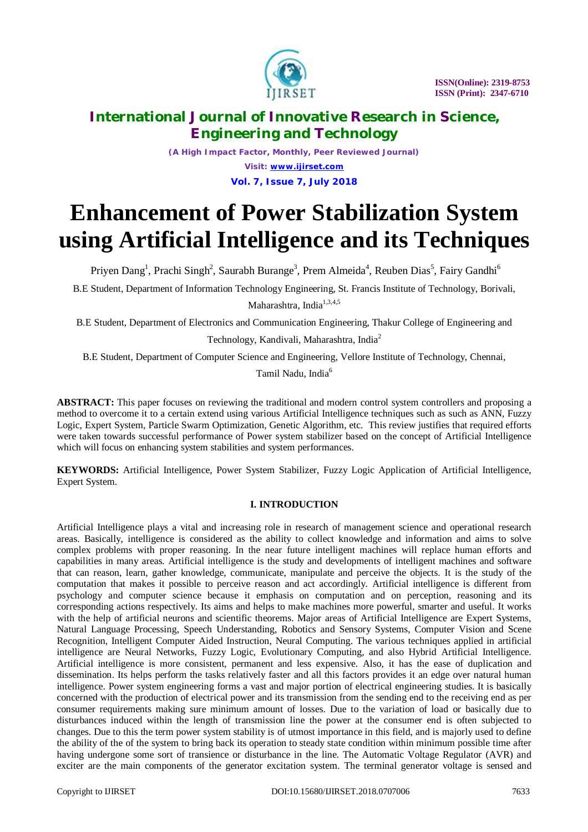

*(A High Impact Factor, Monthly, Peer Reviewed Journal) Visit: [www.ijirset.com](http://www.ijirset.com)* **Vol. 7, Issue 7, July 2018**

# **Enhancement of Power Stabilization System using Artificial Intelligence and its Techniques**

Priyen Dang<sup>1</sup>, Prachi Singh<sup>2</sup>, Saurabh Burange<sup>3</sup>, Prem Almeida<sup>4</sup>, Reuben Dias<sup>5</sup>, Fairy Gandhi<sup>6</sup>

B.E Student, Department of Information Technology Engineering, St. Francis Institute of Technology, Borivali,

Maharashtra, India<sup>1,3,4,5</sup>

B.E Student, Department of Electronics and Communication Engineering, Thakur College of Engineering and Technology, Kandivali, Maharashtra, India<sup>2</sup>

B.E Student, Department of Computer Science and Engineering, Vellore Institute of Technology, Chennai,

Tamil Nadu, India<sup>6</sup>

**ABSTRACT:** This paper focuses on reviewing the traditional and modern control system controllers and proposing a method to overcome it to a certain extend using various Artificial Intelligence techniques such as such as ANN, Fuzzy Logic, Expert System, Particle Swarm Optimization, Genetic Algorithm, etc. This review justifies that required efforts were taken towards successful performance of Power system stabilizer based on the concept of Artificial Intelligence which will focus on enhancing system stabilities and system performances.

**KEYWORDS:** Artificial Intelligence, Power System Stabilizer, Fuzzy Logic Application of Artificial Intelligence, Expert System.

### **I. INTRODUCTION**

Artificial Intelligence plays a vital and increasing role in research of management science and operational research areas. Basically, intelligence is considered as the ability to collect knowledge and information and aims to solve complex problems with proper reasoning. In the near future intelligent machines will replace human efforts and capabilities in many areas. Artificial intelligence is the study and developments of intelligent machines and software that can reason, learn, gather knowledge, communicate, manipulate and perceive the objects. It is the study of the computation that makes it possible to perceive reason and act accordingly. Artificial intelligence is different from psychology and computer science because it emphasis on computation and on perception, reasoning and its corresponding actions respectively. Its aims and helps to make machines more powerful, smarter and useful. It works with the help of artificial neurons and scientific theorems. Major areas of Artificial Intelligence are Expert Systems, Natural Language Processing, Speech Understanding, Robotics and Sensory Systems, Computer Vision and Scene Recognition, Intelligent Computer Aided Instruction, Neural Computing. The various techniques applied in artificial intelligence are Neural Networks, Fuzzy Logic, Evolutionary Computing, and also Hybrid Artificial Intelligence. Artificial intelligence is more consistent, permanent and less expensive. Also, it has the ease of duplication and dissemination. Its helps perform the tasks relatively faster and all this factors provides it an edge over natural human intelligence. Power system engineering forms a vast and major portion of electrical engineering studies. It is basically concerned with the production of electrical power and its transmission from the sending end to the receiving end as per consumer requirements making sure minimum amount of losses. Due to the variation of load or basically due to disturbances induced within the length of transmission line the power at the consumer end is often subjected to changes. Due to this the term power system stability is of utmost importance in this field, and is majorly used to define the ability of the of the system to bring back its operation to steady state condition within minimum possible time after having undergone some sort of transience or disturbance in the line. The Automatic Voltage Regulator (AVR) and exciter are the main components of the generator excitation system. The terminal generator voltage is sensed and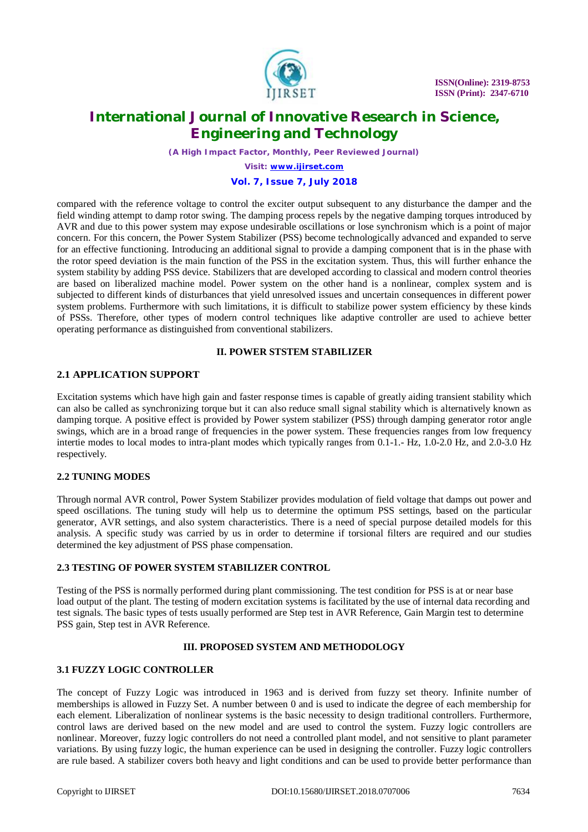

*(A High Impact Factor, Monthly, Peer Reviewed Journal)*

*Visit: [www.ijirset.com](http://www.ijirset.com)*

### **Vol. 7, Issue 7, July 2018**

compared with the reference voltage to control the exciter output subsequent to any disturbance the damper and the field winding attempt to damp rotor swing. The damping process repels by the negative damping torques introduced by AVR and due to this power system may expose undesirable oscillations or lose synchronism which is a point of major concern. For this concern, the Power System Stabilizer (PSS) become technologically advanced and expanded to serve for an effective functioning. Introducing an additional signal to provide a damping component that is in the phase with the rotor speed deviation is the main function of the PSS in the excitation system. Thus, this will further enhance the system stability by adding PSS device. Stabilizers that are developed according to classical and modern control theories are based on liberalized machine model. Power system on the other hand is a nonlinear, complex system and is subjected to different kinds of disturbances that yield unresolved issues and uncertain consequences in different power system problems. Furthermore with such limitations, it is difficult to stabilize power system efficiency by these kinds of PSSs. Therefore, other types of modern control techniques like adaptive controller are used to achieve better operating performance as distinguished from conventional stabilizers.

#### **II. POWER STSTEM STABILIZER**

#### **2.1 APPLICATION SUPPORT**

Excitation systems which have high gain and faster response times is capable of greatly aiding transient stability which can also be called as synchronizing torque but it can also reduce small signal stability which is alternatively known as damping torque. A positive effect is provided by Power system stabilizer (PSS) through damping generator rotor angle swings, which are in a broad range of frequencies in the power system. These frequencies ranges from low frequency intertie modes to local modes to intra-plant modes which typically ranges from 0.1-1.- Hz, 1.0-2.0 Hz, and 2.0-3.0 Hz respectively.

#### **2.2 TUNING MODES**

Through normal AVR control, Power System Stabilizer provides modulation of field voltage that damps out power and speed oscillations. The tuning study will help us to determine the optimum PSS settings, based on the particular generator, AVR settings, and also system characteristics. There is a need of special purpose detailed models for this analysis. A specific study was carried by us in order to determine if torsional filters are required and our studies determined the key adjustment of PSS phase compensation.

#### **2.3 TESTING OF POWER SYSTEM STABILIZER CONTROL**

Testing of the PSS is normally performed during plant commissioning. The test condition for PSS is at or near base load output of the plant. The testing of modern excitation systems is facilitated by the use of internal data recording and test signals. The basic types of tests usually performed are Step test in AVR Reference, Gain Margin test to determine PSS gain, Step test in AVR Reference.

#### **III. PROPOSED SYSTEM AND METHODOLOGY**

#### **3.1 FUZZY LOGIC CONTROLLER**

The concept of Fuzzy Logic was introduced in 1963 and is derived from fuzzy set theory. Infinite number of memberships is allowed in Fuzzy Set. A number between 0 and is used to indicate the degree of each membership for each element. Liberalization of nonlinear systems is the basic necessity to design traditional controllers. Furthermore, control laws are derived based on the new model and are used to control the system. Fuzzy logic controllers are nonlinear. Moreover, fuzzy logic controllers do not need a controlled plant model, and not sensitive to plant parameter variations. By using fuzzy logic, the human experience can be used in designing the controller. Fuzzy logic controllers are rule based. A stabilizer covers both heavy and light conditions and can be used to provide better performance than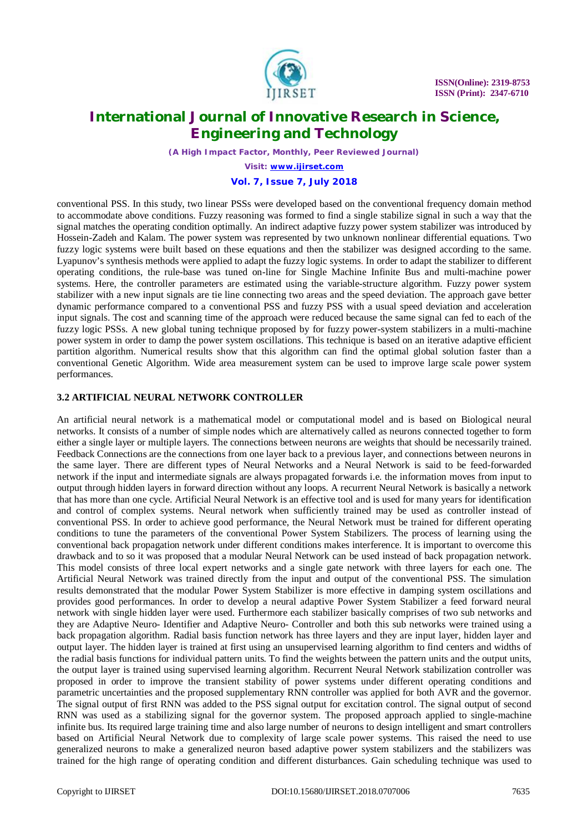

*(A High Impact Factor, Monthly, Peer Reviewed Journal)*

*Visit: [www.ijirset.com](http://www.ijirset.com)*

#### **Vol. 7, Issue 7, July 2018**

conventional PSS. In this study, two linear PSSs were developed based on the conventional frequency domain method to accommodate above conditions. Fuzzy reasoning was formed to find a single stabilize signal in such a way that the signal matches the operating condition optimally. An indirect adaptive fuzzy power system stabilizer was introduced by Hossein-Zadeh and Kalam. The power system was represented by two unknown nonlinear differential equations. Two fuzzy logic systems were built based on these equations and then the stabilizer was designed according to the same. Lyapunov's synthesis methods were applied to adapt the fuzzy logic systems. In order to adapt the stabilizer to different operating conditions, the rule-base was tuned on-line for Single Machine Infinite Bus and multi-machine power systems. Here, the controller parameters are estimated using the variable-structure algorithm. Fuzzy power system stabilizer with a new input signals are tie line connecting two areas and the speed deviation. The approach gave better dynamic performance compared to a conventional PSS and fuzzy PSS with a usual speed deviation and acceleration input signals. The cost and scanning time of the approach were reduced because the same signal can fed to each of the fuzzy logic PSSs. A new global tuning technique proposed by for fuzzy power-system stabilizers in a multi-machine power system in order to damp the power system oscillations. This technique is based on an iterative adaptive efficient partition algorithm. Numerical results show that this algorithm can find the optimal global solution faster than a conventional Genetic Algorithm. Wide area measurement system can be used to improve large scale power system performances.

#### **3.2 ARTIFICIAL NEURAL NETWORK CONTROLLER**

An artificial neural network is a mathematical model or computational model and is based on Biological neural networks. It consists of a number of simple nodes which are alternatively called as neurons connected together to form either a single layer or multiple layers. The connections between neurons are weights that should be necessarily trained. Feedback Connections are the connections from one layer back to a previous layer, and connections between neurons in the same layer. There are different types of Neural Networks and a Neural Network is said to be feed-forwarded network if the input and intermediate signals are always propagated forwards i.e. the information moves from input to output through hidden layers in forward direction without any loops. A recurrent Neural Network is basically a network that has more than one cycle. Artificial Neural Network is an effective tool and is used for many years for identification and control of complex systems. Neural network when sufficiently trained may be used as controller instead of conventional PSS. In order to achieve good performance, the Neural Network must be trained for different operating conditions to tune the parameters of the conventional Power System Stabilizers. The process of learning using the conventional back propagation network under different conditions makes interference. It is important to overcome this drawback and to so it was proposed that a modular Neural Network can be used instead of back propagation network. This model consists of three local expert networks and a single gate network with three layers for each one. The Artificial Neural Network was trained directly from the input and output of the conventional PSS. The simulation results demonstrated that the modular Power System Stabilizer is more effective in damping system oscillations and provides good performances. In order to develop a neural adaptive Power System Stabilizer a feed forward neural network with single hidden layer were used. Furthermore each stabilizer basically comprises of two sub networks and they are Adaptive Neuro- Identifier and Adaptive Neuro- Controller and both this sub networks were trained using a back propagation algorithm. Radial basis function network has three layers and they are input layer, hidden layer and output layer. The hidden layer is trained at first using an unsupervised learning algorithm to find centers and widths of the radial basis functions for individual pattern units. To find the weights between the pattern units and the output units, the output layer is trained using supervised learning algorithm. Recurrent Neural Network stabilization controller was proposed in order to improve the transient stability of power systems under different operating conditions and parametric uncertainties and the proposed supplementary RNN controller was applied for both AVR and the governor. The signal output of first RNN was added to the PSS signal output for excitation control. The signal output of second RNN was used as a stabilizing signal for the governor system. The proposed approach applied to single-machine infinite bus. Its required large training time and also large number of neurons to design intelligent and smart controllers based on Artificial Neural Network due to complexity of large scale power systems. This raised the need to use generalized neurons to make a generalized neuron based adaptive power system stabilizers and the stabilizers was trained for the high range of operating condition and different disturbances. Gain scheduling technique was used to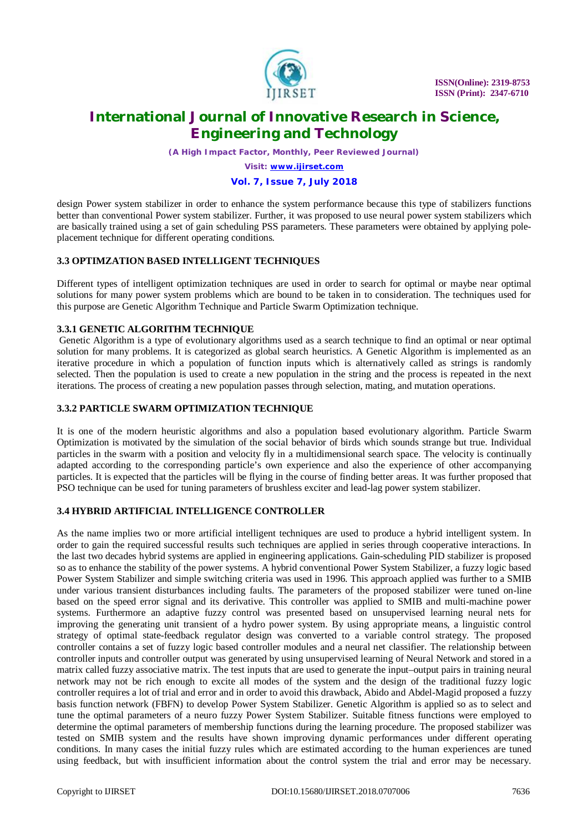

*(A High Impact Factor, Monthly, Peer Reviewed Journal)*

*Visit: [www.ijirset.com](http://www.ijirset.com)*

#### **Vol. 7, Issue 7, July 2018**

design Power system stabilizer in order to enhance the system performance because this type of stabilizers functions better than conventional Power system stabilizer. Further, it was proposed to use neural power system stabilizers which are basically trained using a set of gain scheduling PSS parameters. These parameters were obtained by applying poleplacement technique for different operating conditions.

### **3.3 OPTIMZATION BASED INTELLIGENT TECHNIQUES**

Different types of intelligent optimization techniques are used in order to search for optimal or maybe near optimal solutions for many power system problems which are bound to be taken in to consideration. The techniques used for this purpose are Genetic Algorithm Technique and Particle Swarm Optimization technique.

#### **3.3.1 GENETIC ALGORITHM TECHNIQUE**

Genetic Algorithm is a type of evolutionary algorithms used as a search technique to find an optimal or near optimal solution for many problems. It is categorized as global search heuristics. A Genetic Algorithm is implemented as an iterative procedure in which a population of function inputs which is alternatively called as strings is randomly selected. Then the population is used to create a new population in the string and the process is repeated in the next iterations. The process of creating a new population passes through selection, mating, and mutation operations.

#### **3.3.2 PARTICLE SWARM OPTIMIZATION TECHNIQUE**

It is one of the modern heuristic algorithms and also a population based evolutionary algorithm. Particle Swarm Optimization is motivated by the simulation of the social behavior of birds which sounds strange but true. Individual particles in the swarm with a position and velocity fly in a multidimensional search space. The velocity is continually adapted according to the corresponding particle's own experience and also the experience of other accompanying particles. It is expected that the particles will be flying in the course of finding better areas. It was further proposed that PSO technique can be used for tuning parameters of brushless exciter and lead-lag power system stabilizer.

### **3.4 HYBRID ARTIFICIAL INTELLIGENCE CONTROLLER**

As the name implies two or more artificial intelligent techniques are used to produce a hybrid intelligent system. In order to gain the required successful results such techniques are applied in series through cooperative interactions. In the last two decades hybrid systems are applied in engineering applications. Gain-scheduling PID stabilizer is proposed so as to enhance the stability of the power systems. A hybrid conventional Power System Stabilizer, a fuzzy logic based Power System Stabilizer and simple switching criteria was used in 1996. This approach applied was further to a SMIB under various transient disturbances including faults. The parameters of the proposed stabilizer were tuned on-line based on the speed error signal and its derivative. This controller was applied to SMIB and multi-machine power systems. Furthermore an adaptive fuzzy control was presented based on unsupervised learning neural nets for improving the generating unit transient of a hydro power system. By using appropriate means, a linguistic control strategy of optimal state-feedback regulator design was converted to a variable control strategy. The proposed controller contains a set of fuzzy logic based controller modules and a neural net classifier. The relationship between controller inputs and controller output was generated by using unsupervised learning of Neural Network and stored in a matrix called fuzzy associative matrix. The test inputs that are used to generate the input–output pairs in training neural network may not be rich enough to excite all modes of the system and the design of the traditional fuzzy logic controller requires a lot of trial and error and in order to avoid this drawback, Abido and Abdel-Magid proposed a fuzzy basis function network (FBFN) to develop Power System Stabilizer. Genetic Algorithm is applied so as to select and tune the optimal parameters of a neuro fuzzy Power System Stabilizer. Suitable fitness functions were employed to determine the optimal parameters of membership functions during the learning procedure. The proposed stabilizer was tested on SMIB system and the results have shown improving dynamic performances under different operating conditions. In many cases the initial fuzzy rules which are estimated according to the human experiences are tuned using feedback, but with insufficient information about the control system the trial and error may be necessary.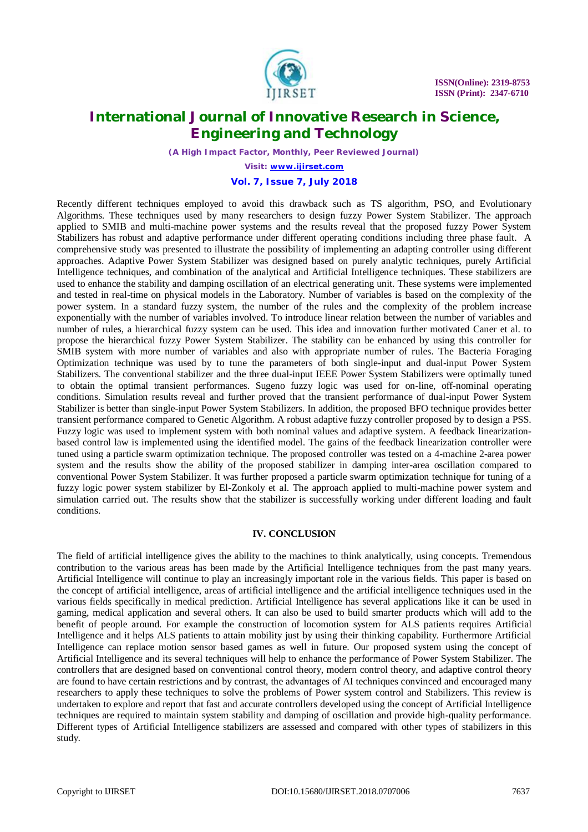

*(A High Impact Factor, Monthly, Peer Reviewed Journal)*

*Visit: [www.ijirset.com](http://www.ijirset.com)*

### **Vol. 7, Issue 7, July 2018**

Recently different techniques employed to avoid this drawback such as TS algorithm, PSO, and Evolutionary Algorithms. These techniques used by many researchers to design fuzzy Power System Stabilizer. The approach applied to SMIB and multi-machine power systems and the results reveal that the proposed fuzzy Power System Stabilizers has robust and adaptive performance under different operating conditions including three phase fault. A comprehensive study was presented to illustrate the possibility of implementing an adapting controller using different approaches. Adaptive Power System Stabilizer was designed based on purely analytic techniques, purely Artificial Intelligence techniques, and combination of the analytical and Artificial Intelligence techniques. These stabilizers are used to enhance the stability and damping oscillation of an electrical generating unit. These systems were implemented and tested in real-time on physical models in the Laboratory. Number of variables is based on the complexity of the power system. In a standard fuzzy system, the number of the rules and the complexity of the problem increase exponentially with the number of variables involved. To introduce linear relation between the number of variables and number of rules, a hierarchical fuzzy system can be used. This idea and innovation further motivated Caner et al. to propose the hierarchical fuzzy Power System Stabilizer. The stability can be enhanced by using this controller for SMIB system with more number of variables and also with appropriate number of rules. The Bacteria Foraging Optimization technique was used by to tune the parameters of both single-input and dual-input Power System Stabilizers. The conventional stabilizer and the three dual-input IEEE Power System Stabilizers were optimally tuned to obtain the optimal transient performances. Sugeno fuzzy logic was used for on-line, off-nominal operating conditions. Simulation results reveal and further proved that the transient performance of dual-input Power System Stabilizer is better than single-input Power System Stabilizers. In addition, the proposed BFO technique provides better transient performance compared to Genetic Algorithm. A robust adaptive fuzzy controller proposed by to design a PSS. Fuzzy logic was used to implement system with both nominal values and adaptive system. A feedback linearizationbased control law is implemented using the identified model. The gains of the feedback linearization controller were tuned using a particle swarm optimization technique. The proposed controller was tested on a 4-machine 2-area power system and the results show the ability of the proposed stabilizer in damping inter-area oscillation compared to conventional Power System Stabilizer. It was further proposed a particle swarm optimization technique for tuning of a fuzzy logic power system stabilizer by El-Zonkoly et al. The approach applied to multi-machine power system and simulation carried out. The results show that the stabilizer is successfully working under different loading and fault conditions.

#### **IV. CONCLUSION**

The field of artificial intelligence gives the ability to the machines to think analytically, using concepts. Tremendous contribution to the various areas has been made by the Artificial Intelligence techniques from the past many years. Artificial Intelligence will continue to play an increasingly important role in the various fields. This paper is based on the concept of artificial intelligence, areas of artificial intelligence and the artificial intelligence techniques used in the various fields specifically in medical prediction. Artificial Intelligence has several applications like it can be used in gaming, medical application and several others. It can also be used to build smarter products which will add to the benefit of people around. For example the construction of locomotion system for ALS patients requires Artificial Intelligence and it helps ALS patients to attain mobility just by using their thinking capability. Furthermore Artificial Intelligence can replace motion sensor based games as well in future. Our proposed system using the concept of Artificial Intelligence and its several techniques will help to enhance the performance of Power System Stabilizer. The controllers that are designed based on conventional control theory, modern control theory, and adaptive control theory are found to have certain restrictions and by contrast, the advantages of AI techniques convinced and encouraged many researchers to apply these techniques to solve the problems of Power system control and Stabilizers. This review is undertaken to explore and report that fast and accurate controllers developed using the concept of Artificial Intelligence techniques are required to maintain system stability and damping of oscillation and provide high-quality performance. Different types of Artificial Intelligence stabilizers are assessed and compared with other types of stabilizers in this study.